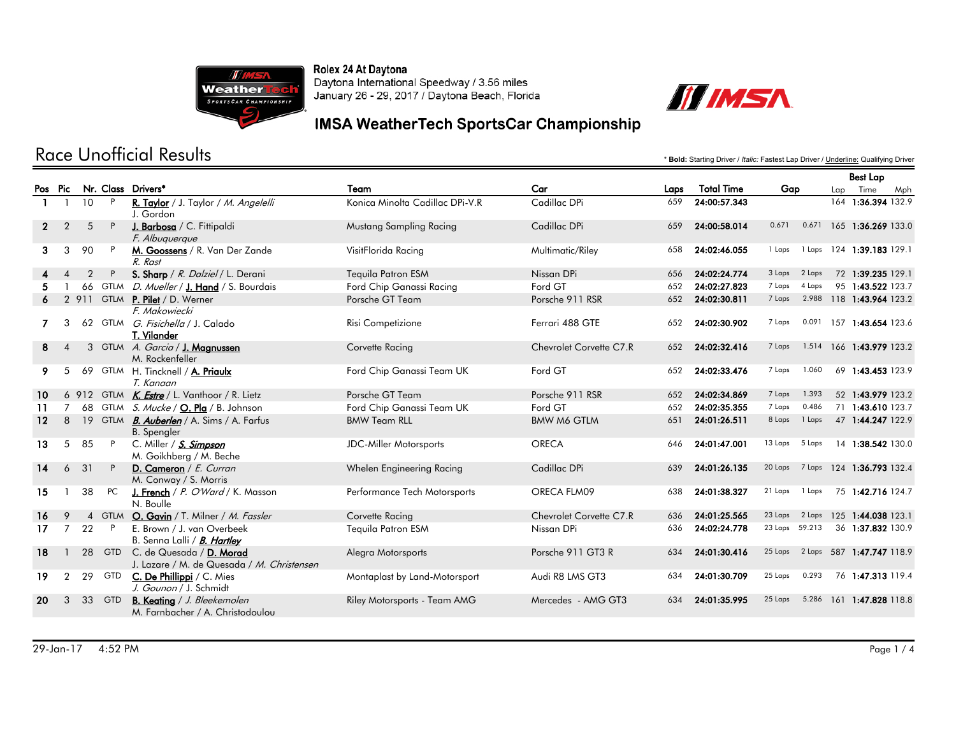



#### **IMSA WeatherTech SportsCar Championship**

|                   |                |                |              |                                                                        |                                 |                         |      |                   | <b>Best Lap</b> |        |     |                    |     |
|-------------------|----------------|----------------|--------------|------------------------------------------------------------------------|---------------------------------|-------------------------|------|-------------------|-----------------|--------|-----|--------------------|-----|
|                   | Pos Pic        |                |              | Nr. Class Drivers*                                                     | Team                            | Car                     | Laps | <b>Total Time</b> | Gap             |        | Lap | Time               | Mph |
|                   |                | 10             | P            | R. Taylor / J. Taylor / M. Angelelli<br>J. Gordon                      | Konica Minolta Cadillac DPi-V.R | Cadillac DPi            | 659  | 24:00:57.343      |                 |        |     | 164 1:36.394 132.9 |     |
| 2                 | $\overline{2}$ | 5              | P            | J. Barbosa / C. Fittipaldi<br>F. Albuquerque                           | Mustang Sampling Racing         | Cadillac DPi            | 659  | 24:00:58.014      | 0.671           | 0.671  |     | 165 1:36.269 133.0 |     |
| 3                 | 3              | 90             |              | M. Goossens / R. Van Der Zande<br>$R$ $R$ $\alpha$ st                  | VisitFlorida Racing             | Multimatic/Riley        | 658  | 24:02:46.055      | 1 Laps          | 1 Laps |     | 124 1:39.183 129.1 |     |
|                   | $\overline{4}$ | $\overline{2}$ | P            | S. Sharp / R. Dalziel / L. Derani                                      | Tequila Patron ESM              | Nissan DPi              | 656  | 24:02:24.774      | 3 Laps          | 2 Laps |     | 72 1:39.235 129.1  |     |
|                   |                |                | 66 GTLM      | D. Mueller / J. Hand / S. Bourdais                                     | Ford Chip Ganassi Racing        | Ford GT                 | 652  | 24:02:27.823      | 7 Laps          | 4 Laps |     | 95 1:43.522 123.7  |     |
|                   | $\overline{2}$ |                |              | 911 GTLM <b>P. Pilet</b> / D. Werner                                   | Porsche GT Team                 | Porsche 911 RSR         | 652  | 24:02:30.811      | 7 Laps          | 2.988  |     | 118 1:43.964 123.2 |     |
|                   |                |                |              | F. Makowiecki                                                          |                                 |                         |      |                   |                 |        |     |                    |     |
|                   | 3              |                |              | 62 GTLM <i>G. Fisichella</i> / J. Calado<br>T. Vilander                | Risi Competizione               | Ferrari 488 GTE         | 652  | 24:02:30.902      | 7 Laps          | 0.091  |     | 157 1:43.654 123.6 |     |
| 8                 | $\overline{A}$ |                |              | 3 GTLM A. Garcia / J. Maanussen<br>M. Rockenfeller                     | Corvette Racing                 | Chevrolet Corvette C7.R | 652  | 24:02:32.416      | 7 Laps          | 1.514  |     | 166 1:43.979 123.2 |     |
| 9                 | 5              |                |              | 69 GTLM H. Tincknell / A. Priaulx<br>T. Kanaan                         | Ford Chip Ganassi Team UK       | Ford GT                 | 652  | 24:02:33.476      | 7 Laps          | 1.060  |     | 69 1:43.453 123.9  |     |
| 10                |                |                |              | 6 912 GTLM K. Estre / L. Vanthoor / R. Lietz                           | Porsche GT Team                 | Porsche 911 RSR         | 652  | 24:02:34.869      | 7 Laps          | 1.393  |     | 52 1:43.979 123.2  |     |
| 11                | $\overline{7}$ |                |              | 68 GTLM S. Mucke / O. Pla / B. Johnson                                 | Ford Chip Ganassi Team UK       | Ford GT                 | 652  | 24:02:35.355      | 7 Laps          | 0.486  |     | 71 1:43.610 123.7  |     |
| $12 \overline{ }$ | 8              |                |              | 19 GTLM <b>B. Auberlen</b> / A. Sims / A. Farfus<br><b>B.</b> Spengler | <b>BMW Team RLL</b>             | <b>BMW M6 GTLM</b>      | 651  | 24:01:26.511      | 8 Laps          | 1 Laps |     | 47 1:44.247 122.9  |     |
| 13                | 5              | 85             | $\mathsf{P}$ | C. Miller / S. Simpson<br>M. Goikhberg / M. Beche                      | <b>JDC-Miller Motorsports</b>   | <b>ORECA</b>            | 646  | 24:01:47.001      | 13 Laps         | 5 Laps |     | 14 1:38.542 130.0  |     |
| 14                | 6              | 31             | P            | D. Cameron / E. Curran<br>M. Conway / S. Morris                        | Whelen Engineering Racing       | Cadillac DPi            | 639  | 24:01:26.135      | 20 Laps         | 7 Laps |     | 124 1:36.793 132.4 |     |
| 15                |                | 38             | PC           | J. French / P. O'Ward / K. Masson<br>N. Boulle                         | Performance Tech Motorsports    | ORECA FLM09             | 638  | 24:01:38.327      | 21 Laps         | 1 Laps |     | 75 1:42.716 124.7  |     |
| 16                | $\mathsf Q$    |                |              | 4 GTLM O. Gavin / T. Milner / M. Fassler                               | Corvette Racing                 | Chevrolet Corvette C7.R | 636  | 24:01:25.565      | 23 Laps         | 2 Laps |     | 125 1:44.038 123.1 |     |
| 17                | 7              | 22             | $\mathsf{P}$ | E. Brown / J. van Overbeek<br>B. Senna Lalli / B. Hartley              | Tequila Patron ESM              | Nissan DPi              | 636  | 24:02:24.778      | 23 Laps 59.213  |        |     | 36 1:37.832 130.9  |     |
| 18                |                | 28             | <b>GTD</b>   | C. de Quesada / D. Morad<br>J. Lazare / M. de Quesada / M. Christensen | Alegra Motorsports              | Porsche 911 GT3 R       | 634  | 24:01:30.416      | 25 Laps         | 2 Laps |     | 587 1:47.747 118.9 |     |
| 19                | 2              | 29             | <b>GTD</b>   | C. De Phillippi / C. Mies<br>J. Gounon / J. Schmidt                    | Montaplast by Land-Motorsport   | Audi R8 LMS GT3         | 634  | 24:01:30.709      | 25 Laps         | 0.293  |     | 76 1:47.313 119.4  |     |
| 20                | 3              | 33             | <b>GTD</b>   | <b>B. Keating</b> / J. Bleekemolen<br>M. Farnbacher / A. Christodoulou | Riley Motorsports - Team AMG    | Mercedes - AMG GT3      | 634  | 24:01:35.995      | 25 Laps         | 5.286  |     | 161 1:47.828 118.8 |     |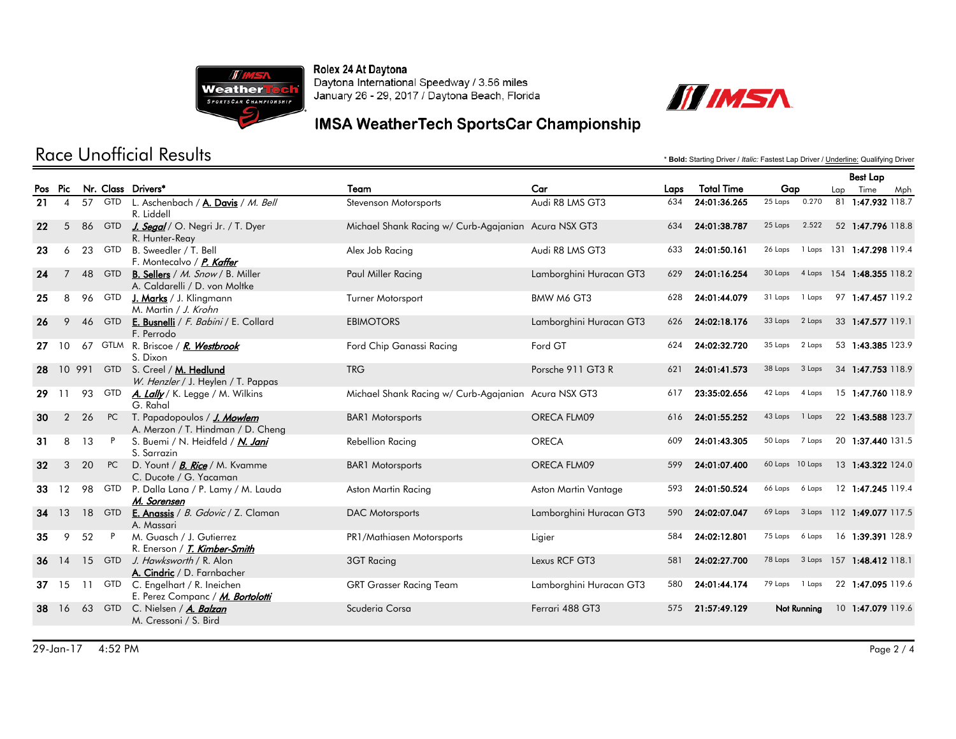



### **IMSA WeatherTech SportsCar Championship**

|     |                |    |              |                                                                                 |                                                      |                         |     |                                |                   | <b>Best Lap</b> |                    |     |
|-----|----------------|----|--------------|---------------------------------------------------------------------------------|------------------------------------------------------|-------------------------|-----|--------------------------------|-------------------|-----------------|--------------------|-----|
| Pos | Pic            |    |              | Nr. Class Drivers*                                                              | Team                                                 | Car                     |     | <b>Total Time</b>              | Gap               | Lap             | Time               | Mph |
| 21  | $\overline{4}$ | 57 | <b>GTD</b>   | L. Aschenbach / A. Davis / M. Bell<br>R. Liddell                                | Stevenson Motorsports                                | Audi R8 LMS GT3         | 634 | 24:01:36.265                   | 0.270<br>25 Laps  |                 | 81 1:47.932 118.7  |     |
| 22  | 5              | 86 | <b>GTD</b>   | J. Segal / O. Negri Jr. / T. Dyer<br>R. Hunter-Reay                             | Michael Shank Racing w/ Curb-Agajanian Acura NSX GT3 |                         | 634 | 24:01:38.787                   | 2.522<br>25 Laps  |                 | 52 1:47.796 118.8  |     |
| 23  | 6              | 23 | <b>GTD</b>   | B. Sweedler / T. Bell<br>F. Montecalvo / P. Kaffer                              | Alex Job Racing                                      | Audi R8 LMS GT3         | 633 | 24:01:50.161                   | 26 Laps<br>1 Laps |                 | 131 1:47.298 119.4 |     |
| 24  | 7              | 48 | <b>GTD</b>   | <b>B. Sellers</b> / <i>M. Snow</i> / B. Miller<br>A. Caldarelli / D. von Moltke | Paul Miller Racing                                   | Lamborghini Huracan GT3 | 629 | 24:01:16.254                   | 30 Laps<br>4 Laps |                 | 154 1:48.355 118.2 |     |
| 25  | 8              | 96 | <b>GTD</b>   | J. Marks / J. Klingmann<br>M. Martin / J. Krohn                                 | Turner Motorsport                                    | BMW M6 GT3              | 628 | 24:01:44.079                   | 31 Laps<br>1 Laps |                 | 97 1:47.457 119.2  |     |
| 26  | 9              | 46 | <b>GTD</b>   | E. Busnelli / F. Babini / E. Collard<br>F. Perrodo                              | <b>EBIMOTORS</b>                                     | Lamborghini Huracan GT3 | 626 | 24:02:18.176                   | 33 Laps<br>2 Laps |                 | 33 1:47.577 119.1  |     |
| 27. | 10             |    |              | 67 GTLM R. Briscoe / R. Westbrook<br>S. Dixon                                   | Ford Chip Ganassi Racing                             | Ford GT                 | 624 | 24:02:32.720                   | 35 Laps<br>2 Laps |                 | 53 1:43.385 123.9  |     |
| 28  |                |    | 10 991 GTD   | S. Creel / M. Hedlund<br>W. Henzler / J. Heylen / T. Pappas                     | <b>TRG</b>                                           | Porsche 911 GT3 R       | 621 | 24:01:41.573                   | 38 Laps 3 Laps    |                 | 34 1:47.753 118.9  |     |
| 29  | 11             | 93 | <b>GTD</b>   | A. Lally / K. Legge / M. Wilkins<br>G. Rahal                                    | Michael Shank Racing w/ Curb-Agajanian Acura NSX GT3 |                         | 617 | 23:35:02.656                   | 42 Laps<br>4 Laps |                 | 15 1:47.760 118.9  |     |
| 30  | $\overline{2}$ | 26 | PC           | T. Papadopoulos / <b><i>J. Mowlem</i></b><br>A. Merzon / T. Hindman / D. Cheng  | <b>BAR1</b> Motorsports                              | ORECA FLM09             | 616 | 24:01:55.252                   | 43 Laps<br>1 Laps |                 | 22 1:43.588 123.7  |     |
| 31  | 8              | 13 | $\mathsf{P}$ | S. Buemi / N. Heidfeld / <i>N. Jani</i><br>S. Sarrazin                          | Rebellion Racing                                     | <b>ORECA</b>            | 609 | 24:01:43.305<br>50 Laps 7 Laps |                   |                 | 20 1:37.440 131.5  |     |
| 32  | 3              | 20 | PC           | D. Yount / <i>B. Rice</i> / M. Kvamme<br>C. Ducote / G. Yacaman                 | <b>BAR1</b> Motorsports                              | ORECA FLM09             | 599 | 24:01:07.400                   | 60 Laps 10 Laps   |                 | 13 1:43.322 124.0  |     |
| 33  | 12             | 98 | <b>GTD</b>   | P. Dalla Lana / P. Lamy / M. Lauda<br>M. Sorensen                               | Aston Martin Racing                                  | Aston Martin Vantage    | 593 | 24:01:50.524                   | 66 Laps<br>6 Laps |                 | 12 1:47.245 119.4  |     |
| 34  | 13             | 18 | <b>GTD</b>   | E. Anassis / B. Gdovic / Z. Claman<br>A. Massari                                | <b>DAC Motorsports</b>                               | Lamborghini Huracan GT3 | 590 | 24:02:07.047                   | 69 Laps<br>3 Laps |                 | 112 1:49.077 117.5 |     |
| 35  | 9              | 52 | P            | M. Guasch / J. Gutierrez<br>R. Enerson / T. Kimber-Smith                        | PR1/Mathiasen Motorsports                            | Ligier                  | 584 | 24:02:12.801                   | 75 Laps<br>6 Laps |                 | 16 1:39.391 128.9  |     |
| 36  | 14             | 15 | <b>GTD</b>   | J. Hawksworth / R. Alon<br>A. Cindric / D. Farnbacher                           | 3GT Racing                                           | Lexus RCF GT3           | 581 | 24:02:27.700                   | 78 Laps<br>3 Laps |                 | 157 1:48.412 118.1 |     |
|     | $37 \quad 15$  | 11 | GTD          | C. Engelhart / R. Ineichen<br>E. Perez Companc / M. Bortolotti                  | <b>GRT Grasser Racing Team</b>                       | Lamborghini Huracan GT3 | 580 | 24:01:44.174                   | 79 Laps<br>1 Laps |                 | 22 1:47.095 119.6  |     |
| 38  | 16             | 63 | <b>GTD</b>   | C. Nielsen / A. Balzan<br>M. Cressoni / S. Bird                                 | Scuderia Corsa                                       | Ferrari 488 GT3         | 575 | 21:57:49.129                   | Not Running       |                 | 10 1:47.079 119.6  |     |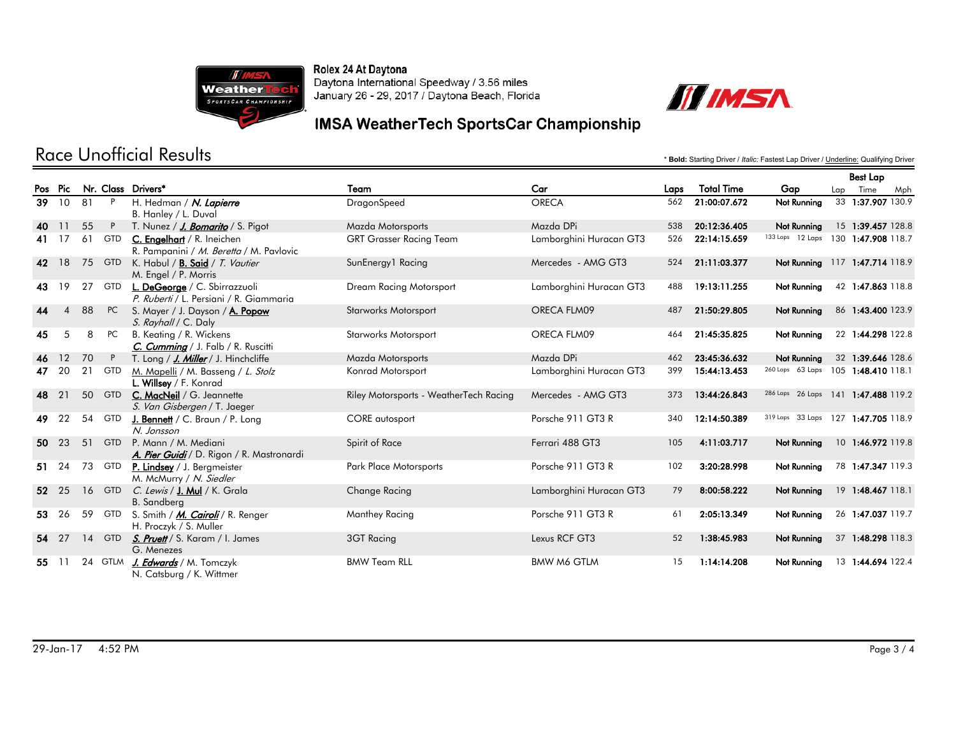



#### **IMSA WeatherTech SportsCar Championship**

|       |                |           |             |                                                                          |                                        |                         |      |                   |                                     | <b>Best Lap</b> |                    |     |
|-------|----------------|-----------|-------------|--------------------------------------------------------------------------|----------------------------------------|-------------------------|------|-------------------|-------------------------------------|-----------------|--------------------|-----|
|       | Pos Pic        |           |             | Nr. Class Drivers*                                                       | Team                                   | Car                     | Laps | <b>Total Time</b> | Gap                                 | Lap             | Time               | Mph |
| 39    | <b>10</b>      | 81        | P           | H. Hedman / N. Lapierre                                                  | DragonSpeed                            | <b>ORECA</b>            | 562  | 21:00:07.672      | Not Running                         |                 | 33 1:37.907 130.9  |     |
|       |                |           |             | B. Hanley / L. Duval                                                     |                                        |                         |      |                   |                                     |                 |                    |     |
| 40    | 11             | 55        | P           | T. Nunez / J. Bomarito / S. Pigot                                        | Mazda Motorsports                      | Mazda DPi               | 538  | 20:12:36.405      | Not Running                         |                 | 15 1:39.457 128.8  |     |
| 41 17 |                | 61        | <b>GTD</b>  | C. Engelhart / R. Ineichen<br>R. Pampanini / M. Beretta / M. Pavlovic    | <b>GRT Grasser Racing Team</b>         | Lamborghini Huracan GT3 | 526  | 22:14:15.659      | 133 Laps 12 Laps                    |                 | 130 1:47.908 118.7 |     |
| 42    | 18             | 75        | <b>GTD</b>  | K. Habul / <b>B. Said</b> / T. Vautier<br>M. Engel / P. Morris           | SunEnergy1 Racing                      | Mercedes - AMG GT3      | 524  | 21:11:03.377      | Not Running                         |                 | 117 1:47.714 118.9 |     |
| 43    | 19             | 27        | GTD         | L. DeGeorge / C. Sbirrazzuoli<br>P. Ruberti / L. Persiani / R. Giammaria | Dream Racing Motorsport                | Lamborghini Huracan GT3 | 488  | 19:13:11.255      | Not Running                         |                 | 42 1:47.863 118.8  |     |
| 44    | $\overline{4}$ | 88        | <b>PC</b>   | S. Mayer / J. Dayson / A. Popow<br>S. Rayhall / C. Daly                  | <b>Starworks Motorsport</b>            | ORECA FLM09             | 487  | 21:50:29.805      | Not Running                         |                 | 86 1:43.400 123.9  |     |
| 45    | 5              | 8         | <b>PC</b>   | B. Keating / R. Wickens<br>C. Cumming / J. Falb / R. Ruscitti            | <b>Starworks Motorsport</b>            | ORECA FLM09             | 464  | 21:45:35.825      | <b>Not Running</b>                  |                 | 22 1:44.298 122.8  |     |
| 46    | 12             | 70        |             | T. Long / J. Miller / J. Hinchcliffe                                     | Mazda Motorsports                      | Mazda DPi               | 462  | 23:45:36.632      | Not Running                         |                 | 32 1:39.646 128.6  |     |
| 47    | 20             | 21        | <b>GTD</b>  | M. Mapelli / M. Basseng / L. Stolz<br>L. Willsey / F. Konrad             | Konrad Motorsport                      | Lamborghini Huracan GT3 | 399  | 15:44:13.453      | 260 Laps 63 Laps                    |                 | 105 1:48.410 118.1 |     |
| 48    | 21             |           | 50 GTD      | C. MacNeil / G. Jeannette<br>S. Van Gisbergen / T. Jaeger                | Riley Motorsports - WeatherTech Racing | Mercedes - AMG GT3      | 373  | 13:44:26.843      | 286 Laps 26 Laps 141 1:47.488 119.2 |                 |                    |     |
| 49    | 22             | 54        | <b>GTD</b>  | <b>J. Bennett</b> / C. Braun / P. Long<br>N. Jonsson                     | CORE autosport                         | Porsche 911 GT3 R       | 340  | 12:14:50.389      | 319 Laps 33 Laps                    |                 | 127 1:47.705 118.9 |     |
| 50    | 23             | 51        | <b>GTD</b>  | P. Mann / M. Mediani<br>A. Pier Guidi / D. Rigon / R. Mastronardi        | Spirit of Race                         | Ferrari 488 GT3         | 105  | 4:11:03.717       | Not Running                         |                 | 10 1:46.972 119.8  |     |
| 51    | 24             | 73        | <b>GTD</b>  | P. Lindsey / J. Bergmeister<br>M. McMurry / N. Siedler                   | <b>Park Place Motorsports</b>          | Porsche 911 GT3 R       | 102  | 3:20:28.998       | Not Running                         |                 | 78 1:47.347 119.3  |     |
| 52    | 25             | <b>16</b> | <b>GTD</b>  | C. Lewis / J. Mul / K. Grala<br><b>B.</b> Sandberg                       | Change Racing                          | Lamborghini Huracan GT3 | 79   | 8:00:58.222       | Not Running                         |                 | 19 1:48.467 118.1  |     |
| 53    | 26             | 59        | <b>GTD</b>  | S. Smith / <i>M. Cairoli</i> / R. Renger<br>H. Proczyk / S. Muller       | Manthey Racing                         | Porsche 911 GT3 R       | 61   | 2:05:13.349       | Not Running                         |                 | 26 1:47.037 119.7  |     |
|       | 54 27          | 14        | <b>GTD</b>  | S. Pruett / S. Karam / I. James<br>G. Menezes                            | 3GT Racing                             | Lexus RCF GT3           | 52   | 1:38:45.983       | Not Running                         |                 | 37 1:48.298 118.3  |     |
| 55    |                | 24        | <b>GTLM</b> | J. Edwards / M. Tomczyk<br>N. Catsburg / K. Wittmer                      | <b>BMW Team RLL</b>                    | <b>BMW M6 GTLM</b>      | 15   | 1:14:14.208       | Not Running                         |                 | 13 1:44.694 122.4  |     |